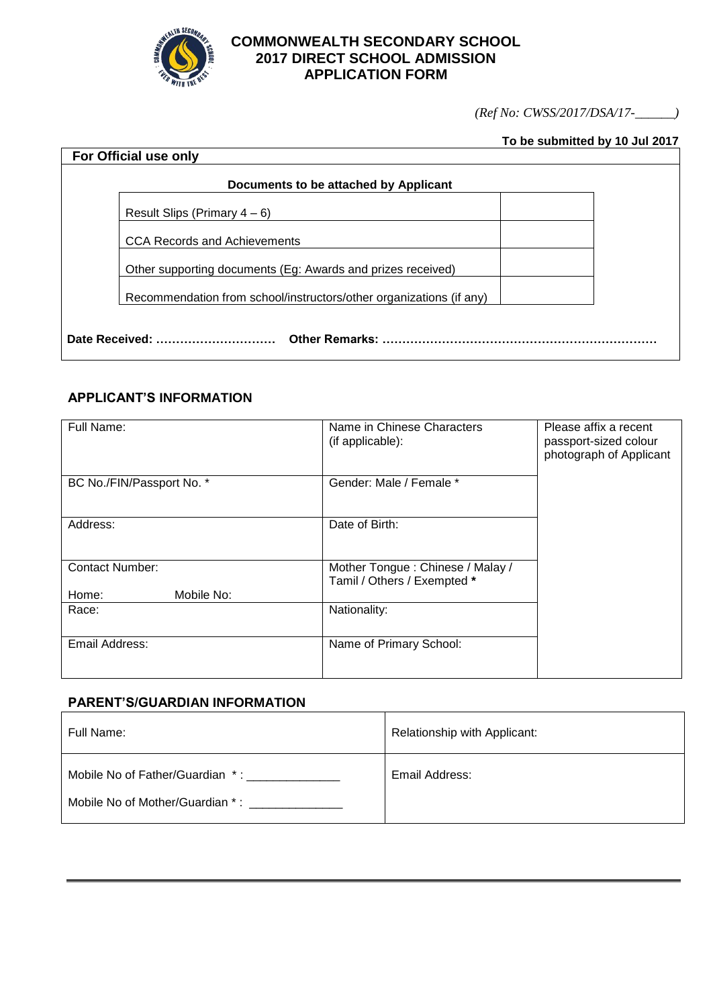

## **COMMONWEALTH SECONDARY SCHOOL 2017 DIRECT SCHOOL ADMISSION APPLICATION FORM**

*(Ref No: CWSS/2017/DSA/17-\_\_\_\_\_\_)*

## **To be submitted by 10 Jul 2017**

| For Official use only                                               |
|---------------------------------------------------------------------|
| Documents to be attached by Applicant                               |
| Result Slips (Primary $4-6$ )                                       |
| <b>CCA Records and Achievements</b>                                 |
| Other supporting documents (Eg: Awards and prizes received)         |
| Recommendation from school/instructors/other organizations (if any) |
|                                                                     |

## **APPLICANT'S INFORMATION**

| Full Name:                | Name in Chinese Characters<br>(if applicable):                  | Please affix a recent<br>passport-sized colour<br>photograph of Applicant |
|---------------------------|-----------------------------------------------------------------|---------------------------------------------------------------------------|
| BC No./FIN/Passport No. * | Gender: Male / Female *                                         |                                                                           |
| Address:                  | Date of Birth:                                                  |                                                                           |
| <b>Contact Number:</b>    | Mother Tongue: Chinese / Malay /<br>Tamil / Others / Exempted * |                                                                           |
| Mobile No:<br>Home:       |                                                                 |                                                                           |
| Race:                     | Nationality:                                                    |                                                                           |
| Email Address:            | Name of Primary School:                                         |                                                                           |

#### **PARENT'S/GUARDIAN INFORMATION**

| Full Name:                                                         | Relationship with Applicant: |
|--------------------------------------------------------------------|------------------------------|
| Mobile No of Father/Guardian *:<br>Mobile No of Mother/Guardian *: | Email Address:               |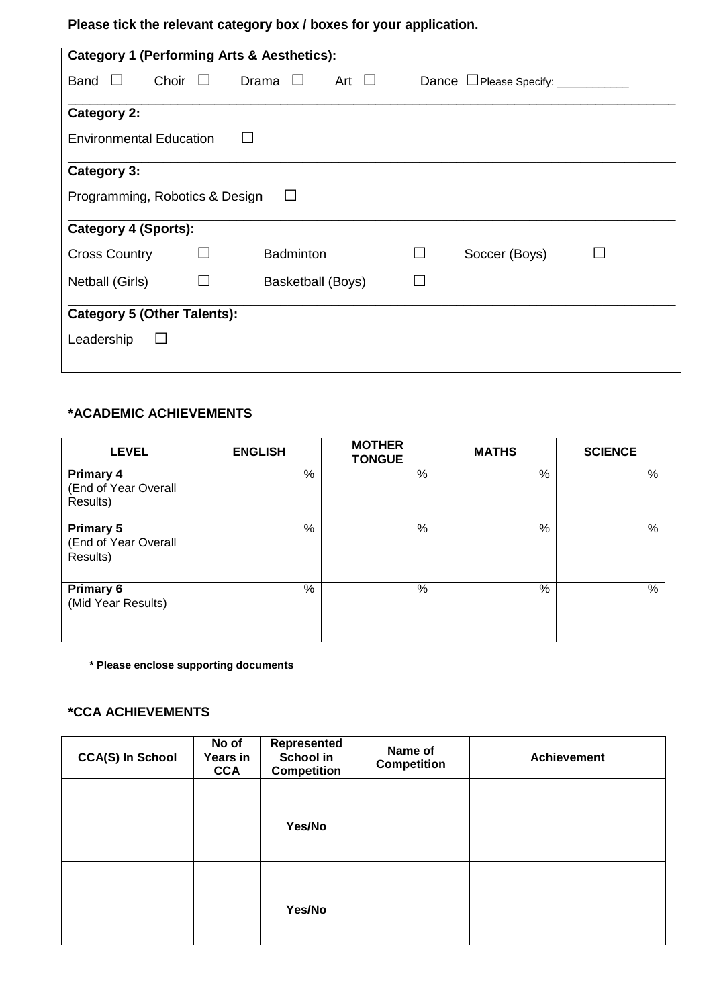**Please tick the relevant category box / boxes for your application.**

|                                    |              | <b>Category 1 (Performing Arts &amp; Aesthetics):</b> |            |                |               |  |
|------------------------------------|--------------|-------------------------------------------------------|------------|----------------|---------------|--|
| Band<br>$\Box$                     | Choir        | Drama                                                 | Art $\Box$ |                |               |  |
| <b>Category 2:</b>                 |              |                                                       |            |                |               |  |
| <b>Environmental Education</b>     |              |                                                       |            |                |               |  |
| Category 3:                        |              |                                                       |            |                |               |  |
| Programming, Robotics & Design     |              |                                                       |            |                |               |  |
| Category 4 (Sports):               |              |                                                       |            |                |               |  |
| <b>Cross Country</b>               | $\mathsf{L}$ | <b>Badminton</b>                                      |            | $\blacksquare$ | Soccer (Boys) |  |
| Netball (Girls)                    | $\mathbf{L}$ | Basketball (Boys)                                     |            |                |               |  |
| <b>Category 5 (Other Talents):</b> |              |                                                       |            |                |               |  |
| Leadership                         | $\Box$       |                                                       |            |                |               |  |

# **\*ACADEMIC ACHIEVEMENTS**

| <b>LEVEL</b>                                         | <b>ENGLISH</b> | <b>MOTHER</b><br><b>TONGUE</b> | <b>MATHS</b> | <b>SCIENCE</b> |
|------------------------------------------------------|----------------|--------------------------------|--------------|----------------|
| <b>Primary 4</b><br>(End of Year Overall<br>Results) | %              | %                              | %            | %              |
| <b>Primary 5</b><br>(End of Year Overall<br>Results) | %              | %                              | %            | $\%$           |
| <b>Primary 6</b><br>(Mid Year Results)               | %              | %                              | $\%$         | %              |

**\* Please enclose supporting documents**

## **\*CCA ACHIEVEMENTS**

| <b>CCA(S) In School</b> | No of<br><b>Years in</b><br><b>CCA</b> | Represented<br>School in<br><b>Competition</b> | Name of<br><b>Competition</b> | <b>Achievement</b> |
|-------------------------|----------------------------------------|------------------------------------------------|-------------------------------|--------------------|
|                         |                                        | Yes/No                                         |                               |                    |
|                         |                                        | Yes/No                                         |                               |                    |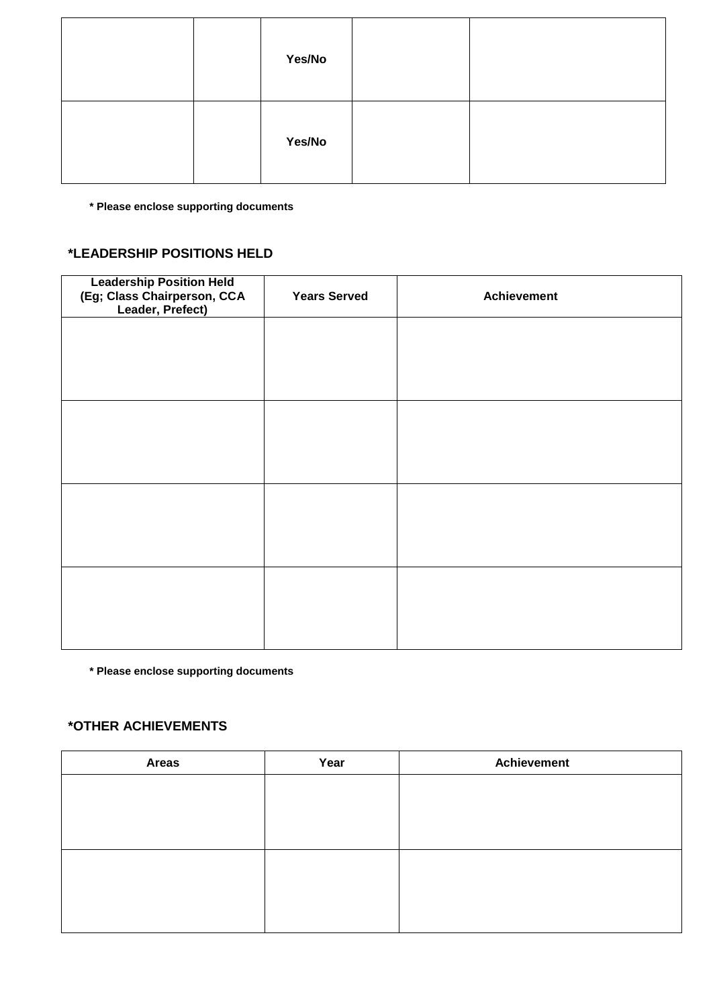|  | Yes/No |  |
|--|--------|--|
|  | Yes/No |  |

**\* Please enclose supporting documents**

## **\*LEADERSHIP POSITIONS HELD**

| <b>Leadership Position Held</b><br>(Eg; Class Chairperson, CCA<br>Leader, Prefect) | <b>Years Served</b> | <b>Achievement</b> |
|------------------------------------------------------------------------------------|---------------------|--------------------|
|                                                                                    |                     |                    |
|                                                                                    |                     |                    |
|                                                                                    |                     |                    |
|                                                                                    |                     |                    |
|                                                                                    |                     |                    |
|                                                                                    |                     |                    |
|                                                                                    |                     |                    |
|                                                                                    |                     |                    |

**\* Please enclose supporting documents**

# **\*OTHER ACHIEVEMENTS**

| Year | <b>Achievement</b> |
|------|--------------------|
|      |                    |
|      |                    |
|      |                    |
|      |                    |
|      |                    |
|      |                    |
|      |                    |